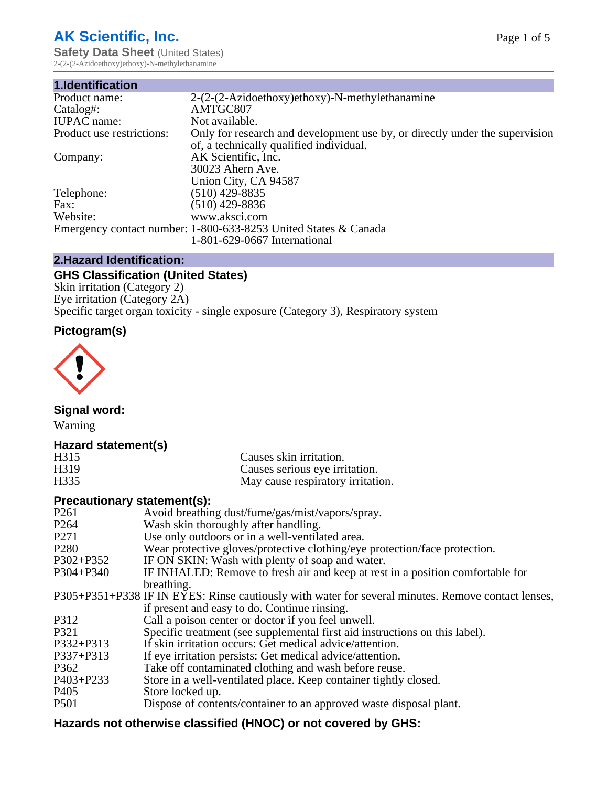# **AK Scientific, Inc.**

**Safety Data Sheet (United States)** 2-(2-(2-Azidoethoxy)ethoxy)-N-methylethanamine

| 1.Identification          |                                                                                                                        |
|---------------------------|------------------------------------------------------------------------------------------------------------------------|
| Product name:             | 2-(2-(2-Azidoethoxy)ethoxy)-N-methylethanamine                                                                         |
| Catalog#:                 | AMTGC807                                                                                                               |
| <b>IUPAC</b> name:        | Not available.                                                                                                         |
| Product use restrictions: | Only for research and development use by, or directly under the supervision<br>of, a technically qualified individual. |
| Company:                  | AK Scientific, Inc.                                                                                                    |
|                           | 30023 Ahern Ave.                                                                                                       |
|                           | Union City, CA 94587                                                                                                   |
| Telephone:                | $(510)$ 429-8835                                                                                                       |
| Fax:                      | (510) 429-8836                                                                                                         |
| Website:                  | www.aksci.com                                                                                                          |
|                           | Emergency contact number: 1-800-633-8253 United States & Canada                                                        |
|                           | 1-801-629-0667 International                                                                                           |

## **2.Hazard Identification:**

# **GHS Classification (United States)**

Skin irritation (Category 2) Eye irritation (Category 2A) Specific target organ toxicity - single exposure (Category 3), Respiratory system

## **Pictogram(s)**



**Signal word:**

Warning

## **Hazard statement(s)**

| H315              | Causes skin irritation.           |
|-------------------|-----------------------------------|
| H <sub>3</sub> 19 | Causes serious eye irritation.    |
| H335              | May cause respiratory irritation. |

#### **Precautionary statement(s):**

| P <sub>261</sub> | Avoid breathing dust/fume/gas/mist/vapors/spray.                                                   |
|------------------|----------------------------------------------------------------------------------------------------|
| P <sub>264</sub> | Wash skin thoroughly after handling.                                                               |
| P <sub>271</sub> | Use only outdoors or in a well-ventilated area.                                                    |
| P <sub>280</sub> | Wear protective gloves/protective clothing/eye protection/face protection.                         |
| P302+P352        | IF ON SKIN: Wash with plenty of soap and water.                                                    |
| $P304 + P340$    | IF INHALED: Remove to fresh air and keep at rest in a position comfortable for                     |
|                  | breathing.                                                                                         |
|                  | P305+P351+P338 IF IN EYES: Rinse cautiously with water for several minutes. Remove contact lenses, |
|                  | if present and easy to do. Continue rinsing.                                                       |
| P312             | Call a poison center or doctor if you feel unwell.                                                 |
| P321             | Specific treatment (see supplemental first aid instructions on this label).                        |
| P332+P313        | If skin irritation occurs: Get medical advice/attention.                                           |
| P337+P313        | If eye irritation persists: Get medical advice/attention.                                          |
| P362             | Take off contaminated clothing and wash before reuse.                                              |
| $P403 + P233$    | Store in a well-ventilated place. Keep container tightly closed.                                   |
| P <sub>405</sub> | Store locked up.                                                                                   |
| P <sub>501</sub> | Dispose of contents/container to an approved waste disposal plant.                                 |
|                  |                                                                                                    |

# **Hazards not otherwise classified (HNOC) or not covered by GHS:**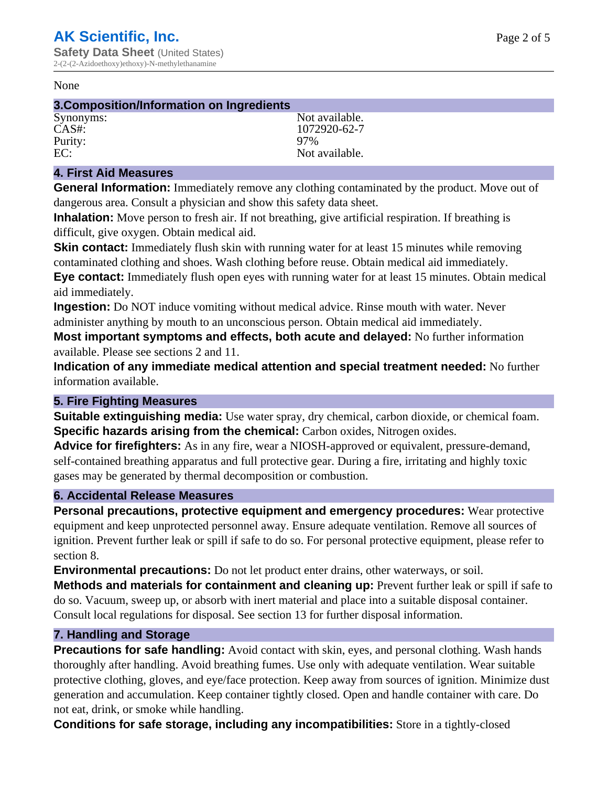#### None

#### **3.Composition/Information on Ingredients**

Purity: 97%<br>EC: Not

Synonyms: Not available. CAS#: 1072920-62-7 Not available.

#### **4. First Aid Measures**

**General Information:** Immediately remove any clothing contaminated by the product. Move out of dangerous area. Consult a physician and show this safety data sheet.

**Inhalation:** Move person to fresh air. If not breathing, give artificial respiration. If breathing is difficult, give oxygen. Obtain medical aid.

**Skin contact:** Immediately flush skin with running water for at least 15 minutes while removing contaminated clothing and shoes. Wash clothing before reuse. Obtain medical aid immediately. **Eye contact:** Immediately flush open eyes with running water for at least 15 minutes. Obtain medical aid immediately.

**Ingestion:** Do NOT induce vomiting without medical advice. Rinse mouth with water. Never administer anything by mouth to an unconscious person. Obtain medical aid immediately.

**Most important symptoms and effects, both acute and delayed:** No further information available. Please see sections 2 and 11.

**Indication of any immediate medical attention and special treatment needed:** No further information available.

#### **5. Fire Fighting Measures**

**Suitable extinguishing media:** Use water spray, dry chemical, carbon dioxide, or chemical foam. **Specific hazards arising from the chemical:** Carbon oxides, Nitrogen oxides.

**Advice for firefighters:** As in any fire, wear a NIOSH-approved or equivalent, pressure-demand, self-contained breathing apparatus and full protective gear. During a fire, irritating and highly toxic gases may be generated by thermal decomposition or combustion.

#### **6. Accidental Release Measures**

**Personal precautions, protective equipment and emergency procedures:** Wear protective equipment and keep unprotected personnel away. Ensure adequate ventilation. Remove all sources of ignition. Prevent further leak or spill if safe to do so. For personal protective equipment, please refer to section 8.

**Environmental precautions:** Do not let product enter drains, other waterways, or soil.

**Methods and materials for containment and cleaning up:** Prevent further leak or spill if safe to do so. Vacuum, sweep up, or absorb with inert material and place into a suitable disposal container. Consult local regulations for disposal. See section 13 for further disposal information.

#### **7. Handling and Storage**

**Precautions for safe handling:** Avoid contact with skin, eyes, and personal clothing. Wash hands thoroughly after handling. Avoid breathing fumes. Use only with adequate ventilation. Wear suitable protective clothing, gloves, and eye/face protection. Keep away from sources of ignition. Minimize dust generation and accumulation. Keep container tightly closed. Open and handle container with care. Do not eat, drink, or smoke while handling.

**Conditions for safe storage, including any incompatibilities:** Store in a tightly-closed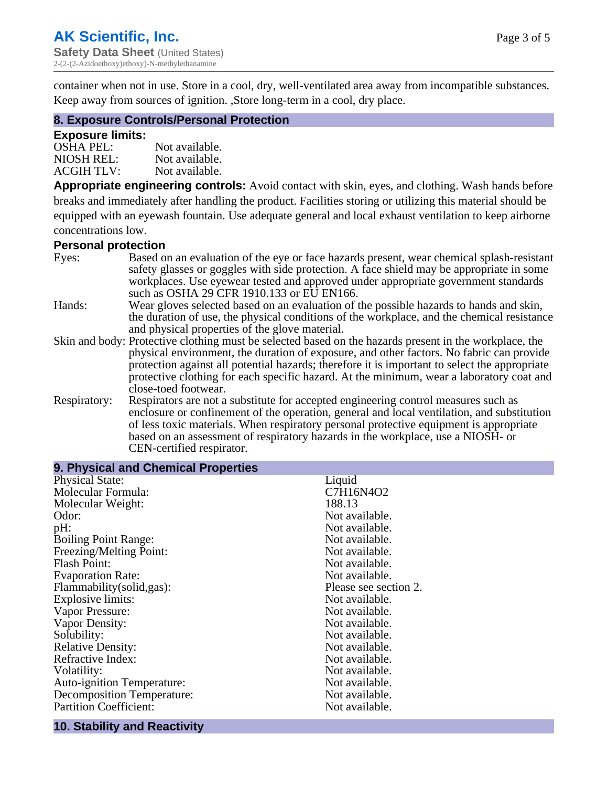container when not in use. Store in a cool, dry, well-ventilated area away from incompatible substances. Keep away from sources of ignition. ,Store long-term in a cool, dry place.

#### **8. Exposure Controls/Personal Protection**

#### **Exposure limits:**

| <b>OSHA PEL:</b>  | Not available. |
|-------------------|----------------|
| NIOSH REL:        | Not available. |
| <b>ACGIH TLV:</b> | Not available. |

**Appropriate engineering controls:** Avoid contact with skin, eyes, and clothing. Wash hands before breaks and immediately after handling the product. Facilities storing or utilizing this material should be equipped with an eyewash fountain. Use adequate general and local exhaust ventilation to keep airborne concentrations low.

#### **Personal protection**

| Eyes:        | Based on an evaluation of the eye or face hazards present, wear chemical splash-resistant<br>safety glasses or goggles with side protection. A face shield may be appropriate in some |  |  |
|--------------|---------------------------------------------------------------------------------------------------------------------------------------------------------------------------------------|--|--|
|              | workplaces. Use eyewear tested and approved under appropriate government standards<br>such as OSHA 29 CFR 1910.133 or EU EN166.                                                       |  |  |
| Hands:       | Wear gloves selected based on an evaluation of the possible hazards to hands and skin,                                                                                                |  |  |
|              | the duration of use, the physical conditions of the workplace, and the chemical resistance                                                                                            |  |  |
|              | and physical properties of the glove material.                                                                                                                                        |  |  |
|              | Skin and body: Protective clothing must be selected based on the hazards present in the workplace, the                                                                                |  |  |
|              | physical environment, the duration of exposure, and other factors. No fabric can provide                                                                                              |  |  |
|              | protection against all potential hazards; therefore it is important to select the appropriate                                                                                         |  |  |
|              | protective clothing for each specific hazard. At the minimum, wear a laboratory coat and                                                                                              |  |  |
|              | close-toed footwear.                                                                                                                                                                  |  |  |
| Respiratory: | Respirators are not a substitute for accepted engineering control measures such as<br>enclosure or confinement of the operation, general and local ventilation, and substitution      |  |  |
|              | of less toxic materials. When respiratory personal protective equipment is appropriate                                                                                                |  |  |
|              | based on an assessment of respiratory hazards in the workplace, use a NIOSH- or                                                                                                       |  |  |
|              | CEN-certified respirator.                                                                                                                                                             |  |  |

| 9. Physical and Chemical Properties |                       |
|-------------------------------------|-----------------------|
| <b>Physical State:</b>              | Liquid                |
| Molecular Formula:                  | C7H16N4O2             |
| Molecular Weight:                   | 188.13                |
| Odor:                               | Not available.        |
| pH:                                 | Not available.        |
| <b>Boiling Point Range:</b>         | Not available.        |
| Freezing/Melting Point:             | Not available.        |
| <b>Flash Point:</b>                 | Not available.        |
| <b>Evaporation Rate:</b>            | Not available.        |
| Flammability(solid,gas):            | Please see section 2. |
| <b>Explosive limits:</b>            | Not available.        |
| Vapor Pressure:                     | Not available.        |
| Vapor Density:                      | Not available.        |
| Solubility:                         | Not available.        |
| <b>Relative Density:</b>            | Not available.        |
| Refractive Index:                   | Not available.        |
| Volatility:                         | Not available.        |
| <b>Auto-ignition Temperature:</b>   | Not available.        |
| <b>Decomposition Temperature:</b>   | Not available.        |
| <b>Partition Coefficient:</b>       | Not available.        |
|                                     |                       |

## **10. Stability and Reactivity**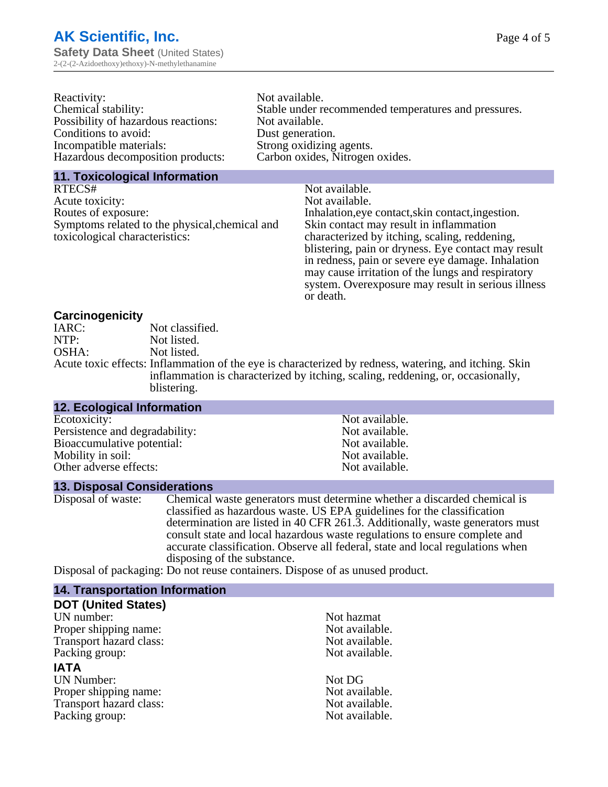| Reactivity:                         | Not available.                                       |
|-------------------------------------|------------------------------------------------------|
| Chemical stability:                 | Stable under recommended temperatures and pressures. |
| Possibility of hazardous reactions: | Not available.                                       |
| Conditions to avoid:                | Dust generation.                                     |
| Incompatible materials:             | Strong oxidizing agents.                             |
| Hazardous decomposition products:   | Carbon oxides, Nitrogen oxides.                      |
|                                     |                                                      |

#### **11. Toxicological Information**

| RTECS#                                         | Not available.                                      |
|------------------------------------------------|-----------------------------------------------------|
| Acute toxicity:                                | Not available.                                      |
| Routes of exposure:                            | Inhalation, eye contact, skin contact, ingestion.   |
| Symptoms related to the physical, chemical and | Skin contact may result in inflammation             |
| toxicological characteristics:                 | characterized by itching, scaling, reddening,       |
|                                                | blistering, pain or dryness. Eye contact may result |
|                                                | in redness, pain or severe eye damage. Inhalation   |
|                                                | may cause irritation of the lungs and respiratory   |
|                                                | system. Overexposure may result in serious illness  |

or death.

#### **Carcinogenicity**

| IARC: | Not classified.                                                                                       |
|-------|-------------------------------------------------------------------------------------------------------|
| NTP:  | Not listed.                                                                                           |
| OSHA: | Not listed.                                                                                           |
|       | Acute toxic effects: Inflammation of the eye is characterized by redness, watering, and itching. Skin |
|       | inflammation is characterized by itching, scaling, reddening, or, occasionally,                       |
|       | blistering.                                                                                           |

| <b>12. Ecological Information</b> |                |  |
|-----------------------------------|----------------|--|
| Ecotoxicity:                      | Not available. |  |
| Persistence and degradability:    | Not available. |  |
| Bioaccumulative potential:        | Not available. |  |
| Mobility in soil:                 | Not available. |  |
| Other adverse effects:            | Not available. |  |
|                                   |                |  |

#### **13. Disposal Considerations**

Disposal of waste: Chemical waste generators must determine whether a discarded chemical is classified as hazardous waste. US EPA guidelines for the classification determination are listed in 40 CFR 261.3. Additionally, waste generators must consult state and local hazardous waste regulations to ensure complete and accurate classification. Observe all federal, state and local regulations when disposing of the substance.

Disposal of packaging: Do not reuse containers. Dispose of as unused product.

| <b>14. Transportation Information</b> |                |
|---------------------------------------|----------------|
| <b>DOT (United States)</b>            |                |
| UN number:                            | Not hazmat     |
| Proper shipping name:                 | Not available. |
| Transport hazard class:               | Not available. |
| Packing group:                        | Not available. |
| <b>IATA</b>                           |                |
| <b>UN Number:</b>                     | Not DG         |
| Proper shipping name:                 | Not available. |
| Transport hazard class:               | Not available. |
| Packing group:                        | Not available. |